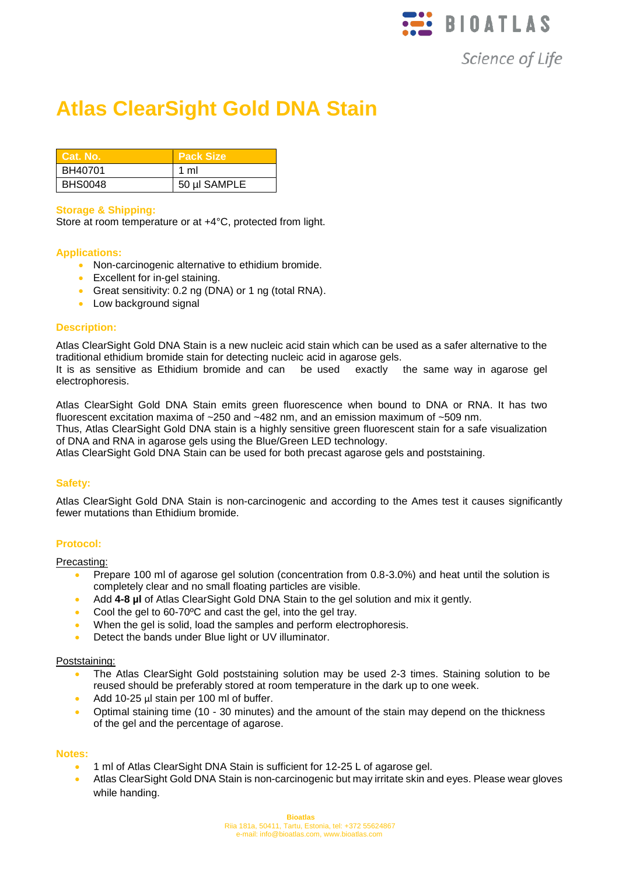

Science of Life

# **Atlas ClearSight Gold DNA Stain**

| Cat. No.       | <b>Pack Size</b> |
|----------------|------------------|
| BH40701        | 1 ml             |
| <b>BHS0048</b> | 50 µl SAMPLE     |

## **Storage & Shipping:**

Store at room temperature or at +4°C, protected from light.

## **Applications:**

- Non-carcinogenic alternative to ethidium bromide.
- Excellent for in-gel staining.
- Great sensitivity: 0.2 ng (DNA) or 1 ng (total RNA).
- Low background signal

### **Description:**

Atlas ClearSight Gold DNA Stain is a new nucleic acid stain which can be used as a safer alternative to the traditional ethidium bromide stain for detecting nucleic acid in agarose gels.

It is as sensitive as Ethidium bromide and can be used exactly the same way in agarose gel electrophoresis.

Atlas ClearSight Gold DNA Stain emits green fluorescence when bound to DNA or RNA. It has two fluorescent excitation maxima of ~250 and ~482 nm, and an emission maximum of ~509 nm.

Thus, Atlas ClearSight Gold DNA stain is a highly sensitive green fluorescent stain for a safe visualization of DNA and RNA in agarose gels using the Blue/Green LED technology.

Atlas ClearSight Gold DNA Stain can be used for both precast agarose gels and poststaining.

# **Safety:**

Atlas ClearSight Gold DNA Stain is non-carcinogenic and according to the Ames test it causes significantly fewer mutations than Ethidium bromide.

# **Protocol:**

Precasting:

- Prepare 100 ml of agarose gel solution (concentration from 0.8-3.0%) and heat until the solution is completely clear and no small floating particles are visible.
- Add **4-8 µl** of Atlas ClearSight Gold DNA Stain to the gel solution and mix it gently.
- Cool the gel to 60-70ºC and cast the gel, into the gel tray.
- When the gel is solid, load the samples and perform electrophoresis.
- Detect the bands under Blue light or UV illuminator.

### Poststaining:

- The Atlas ClearSight Gold poststaining solution may be used 2-3 times. Staining solution to be reused should be preferably stored at room temperature in the dark up to one week.
- Add 10-25 µl stain per 100 ml of buffer.
- Optimal staining time (10 30 minutes) and the amount of the stain may depend on the thickness of the gel and the percentage of agarose.

### **Notes:**

- 1 ml of Atlas ClearSight DNA Stain is sufficient for 12-25 L of agarose gel.
- Atlas ClearSight Gold DNA Stain is non-carcinogenic but may irritate skin and eyes. Please wear gloves while handing.